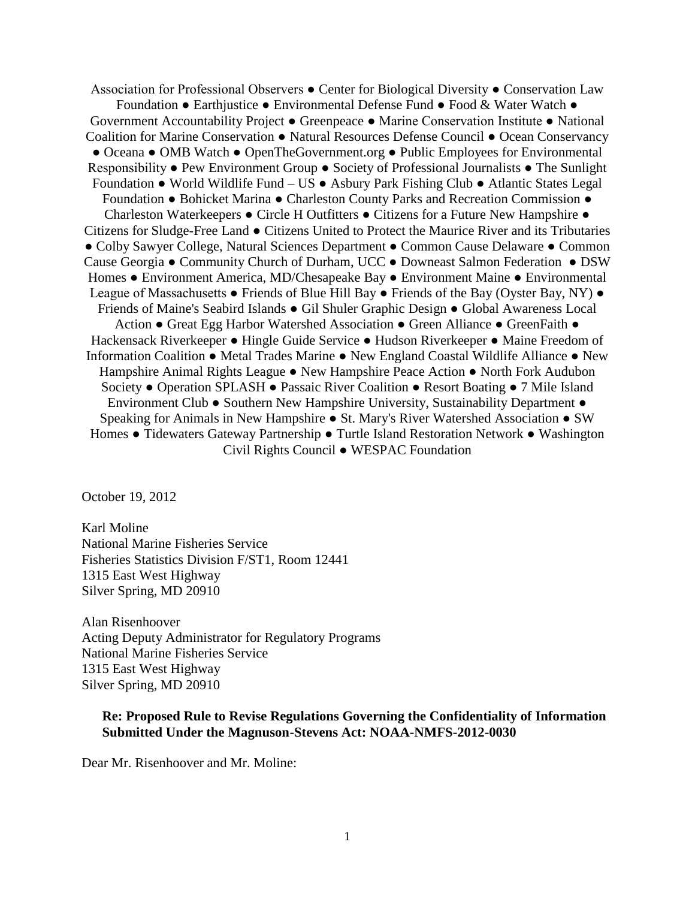Association for Professional Observers ● Center for Biological Diversity ● Conservation Law Foundation ● Earthjustice ● Environmental Defense Fund ● Food & Water Watch ● Government Accountability Project ● Greenpeace ● Marine Conservation Institute ● National Coalition for Marine Conservation ● Natural Resources Defense Council ● Ocean Conservancy ● Oceana ● OMB Watch ● OpenTheGovernment.org ● Public Employees for Environmental Responsibility ● Pew Environment Group ● Society of Professional Journalists ● The Sunlight Foundation ● World Wildlife Fund – US ● Asbury Park Fishing Club ● Atlantic States Legal Foundation ● Bohicket Marina ● Charleston County Parks and Recreation Commission ● Charleston Waterkeepers ● Circle H Outfitters ● Citizens for a Future New Hampshire ● Citizens for Sludge-Free Land ● Citizens United to Protect the Maurice River and its Tributaries ● Colby Sawyer College, Natural Sciences Department ● Common Cause Delaware ● Common Cause Georgia ● Community Church of Durham, UCC ● Downeast Salmon Federation ● DSW Homes ● Environment America, MD/Chesapeake Bay ● Environment Maine ● Environmental League of Massachusetts ● Friends of Blue Hill Bay ● Friends of the Bay (Oyster Bay, NY) ● Friends of Maine's Seabird Islands ● Gil Shuler Graphic Design ● Global Awareness Local Action ● Great Egg Harbor Watershed Association ● Green Alliance ● GreenFaith ● Hackensack Riverkeeper ● Hingle Guide Service ● Hudson Riverkeeper ● Maine Freedom of Information Coalition ● Metal Trades Marine ● New England Coastal Wildlife Alliance ● New Hampshire Animal Rights League ● New Hampshire Peace Action ● North Fork Audubon Society ● Operation SPLASH ● Passaic River Coalition ● Resort Boating ● 7 Mile Island Environment Club ● Southern New Hampshire University, Sustainability Department ● Speaking for Animals in New Hampshire ● St. Mary's River Watershed Association ● SW Homes ● Tidewaters Gateway Partnership ● Turtle Island Restoration Network ● Washington Civil Rights Council ● WESPAC Foundation

October 19, 2012

Karl Moline National Marine Fisheries Service Fisheries Statistics Division F/ST1, Room 12441 1315 East West Highway Silver Spring, MD 20910

Alan Risenhoover Acting Deputy Administrator for Regulatory Programs National Marine Fisheries Service 1315 East West Highway Silver Spring, MD 20910

## **Re: Proposed Rule to Revise Regulations Governing the Confidentiality of Information Submitted Under the Magnuson-Stevens Act: NOAA-NMFS-2012-0030**

Dear Mr. Risenhoover and Mr. Moline: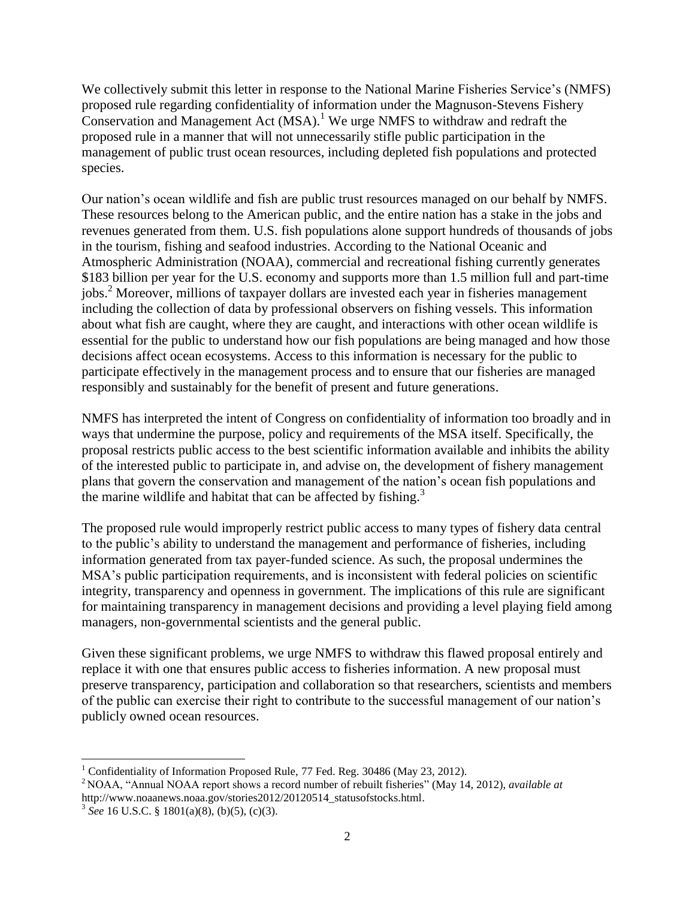We collectively submit this letter in response to the National Marine Fisheries Service's (NMFS) proposed rule regarding confidentiality of information under the Magnuson-Stevens Fishery Conservation and Management Act  $(MSA)^{1}$ . We urge NMFS to withdraw and redraft the proposed rule in a manner that will not unnecessarily stifle public participation in the management of public trust ocean resources, including depleted fish populations and protected species.

Our nation's ocean wildlife and fish are public trust resources managed on our behalf by NMFS. These resources belong to the American public, and the entire nation has a stake in the jobs and revenues generated from them. U.S. fish populations alone support hundreds of thousands of jobs in the tourism, fishing and seafood industries. According to the National Oceanic and Atmospheric Administration (NOAA), commercial and recreational fishing currently generates \$183 billion per year for the U.S. economy and supports more than 1.5 million full and part-time jobs.<sup>2</sup> Moreover, millions of taxpayer dollars are invested each year in fisheries management including the collection of data by professional observers on fishing vessels. This information about what fish are caught, where they are caught, and interactions with other ocean wildlife is essential for the public to understand how our fish populations are being managed and how those decisions affect ocean ecosystems. Access to this information is necessary for the public to participate effectively in the management process and to ensure that our fisheries are managed responsibly and sustainably for the benefit of present and future generations.

NMFS has interpreted the intent of Congress on confidentiality of information too broadly and in ways that undermine the purpose, policy and requirements of the MSA itself. Specifically, the proposal restricts public access to the best scientific information available and inhibits the ability of the interested public to participate in, and advise on, the development of fishery management plans that govern the conservation and management of the nation's ocean fish populations and the marine wildlife and habitat that can be affected by fishing.<sup>3</sup>

The proposed rule would improperly restrict public access to many types of fishery data central to the public's ability to understand the management and performance of fisheries, including information generated from tax payer-funded science. As such, the proposal undermines the MSA's public participation requirements, and is inconsistent with federal policies on scientific integrity, transparency and openness in government. The implications of this rule are significant for maintaining transparency in management decisions and providing a level playing field among managers, non-governmental scientists and the general public.

Given these significant problems, we urge NMFS to withdraw this flawed proposal entirely and replace it with one that ensures public access to fisheries information. A new proposal must preserve transparency, participation and collaboration so that researchers, scientists and members of the public can exercise their right to contribute to the successful management of our nation's publicly owned ocean resources.

 $\overline{\phantom{a}}$ <sup>1</sup> Confidentiality of Information Proposed Rule, 77 Fed. Reg. 30486 (May 23, 2012).

<sup>2</sup> NOAA, "Annual NOAA report shows a record number of rebuilt fisheries" (May 14, 2012), *available at* [http://www.noaanews.noaa.gov/stories2012/20120514\\_statusofstocks.html.](http://www.noaanews.noaa.gov/stories2012/20120514_statusofstocks.html)

 $3 \text{ See } 16 \text{ U.S.C. } $1801(a)(8), (b)(5), (c)(3).$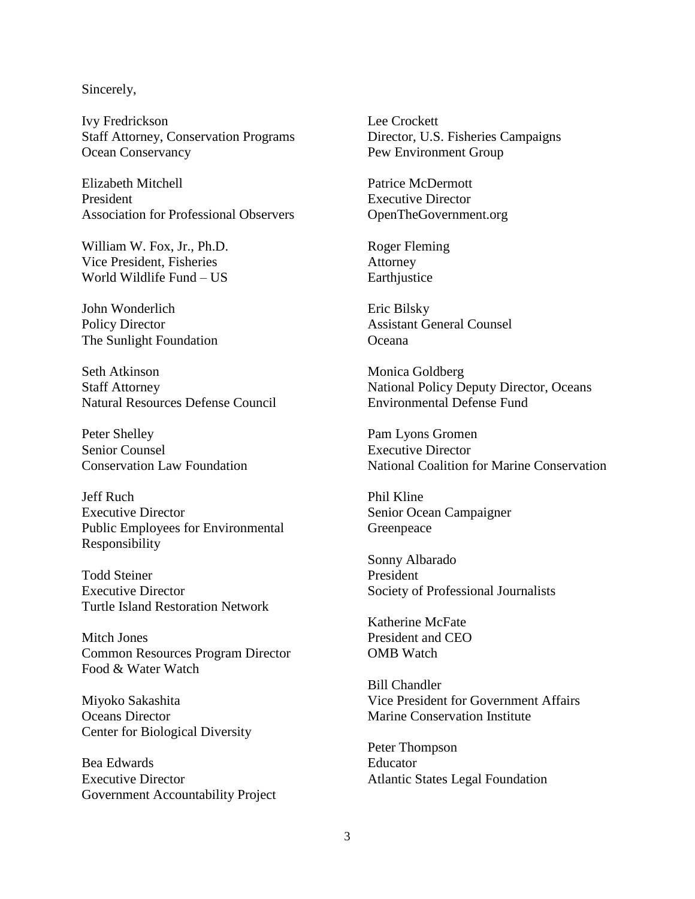## Sincerely,

Ivy Fredrickson Lee Crockett Staff Attorney, Conservation Programs Director, U.S. Fisheries Campaigns Ocean Conservancy Pew Environment Group

Elizabeth Mitchell President Association for Professional Observers

William W. Fox, Jr., Ph.D. Vice President, Fisheries World Wildlife Fund – US

John Wonderlich Policy Director The Sunlight Foundation

Seth Atkinson Staff Attorney Natural Resources Defense Council

Peter Shelley Senior Counsel Conservation Law Foundation

Jeff Ruch Executive Director Public Employees for Environmental Responsibility

Todd Steiner Executive Director Turtle Island Restoration Network

Mitch Jones Common Resources Program Director Food & Water Watch

Miyoko Sakashita Oceans Director Center for Biological Diversity

Bea Edwards Executive Director Government Accountability Project

Patrice McDermott Executive Director OpenTheGovernment.org

Roger Fleming Attorney Earthjustice

Eric Bilsky Assistant General Counsel Oceana

Monica Goldberg National Policy Deputy Director, Oceans Environmental Defense Fund

Pam Lyons Gromen Executive Director National Coalition for Marine Conservation

Phil Kline Senior Ocean Campaigner Greenpeace

Sonny Albarado President Society of Professional Journalists

Katherine McFate President and CEO OMB Watch

Bill Chandler Vice President for Government Affairs Marine Conservation Institute

Peter Thompson Educator Atlantic States Legal Foundation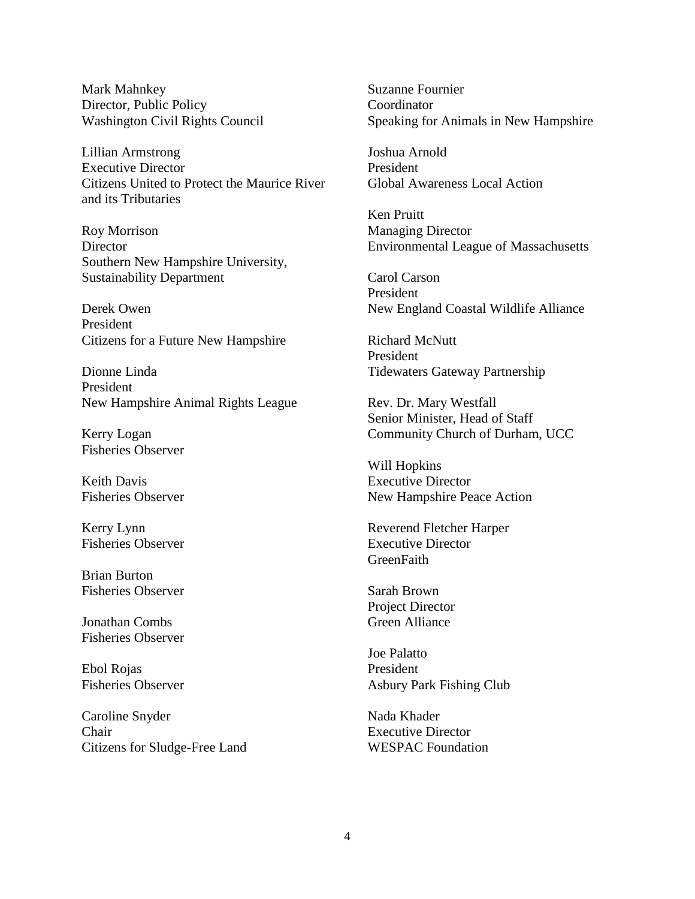Mark Mahnkey Director, Public Policy Washington Civil Rights Council

Lillian Armstrong Executive Director Citizens United to Protect the Maurice River and its Tributaries

Roy Morrison **Director** Southern New Hampshire University, Sustainability Department

Derek Owen President Citizens for a Future New Hampshire

Dionne Linda President New Hampshire Animal Rights League

Kerry Logan Fisheries Observer

Keith Davis Fisheries Observer

Kerry Lynn Fisheries Observer

Brian Burton Fisheries Observer

Jonathan Combs Fisheries Observer

Ebol Rojas Fisheries Observer

Caroline Snyder Chair Citizens for Sludge-Free Land Suzanne Fournier **Coordinator** Speaking for Animals in New Hampshire

Joshua Arnold President Global Awareness Local Action

Ken Pruitt Managing Director Environmental League of Massachusetts

Carol Carson President New England Coastal Wildlife Alliance

Richard McNutt President Tidewaters Gateway Partnership

Rev. Dr. Mary Westfall Senior Minister, Head of Staff Community Church of Durham, UCC

Will Hopkins Executive Director New Hampshire Peace Action

Reverend Fletcher Harper Executive Director **GreenFaith** 

Sarah Brown Project Director Green Alliance

Joe Palatto President Asbury Park Fishing Club

Nada Khader Executive Director WESPAC Foundation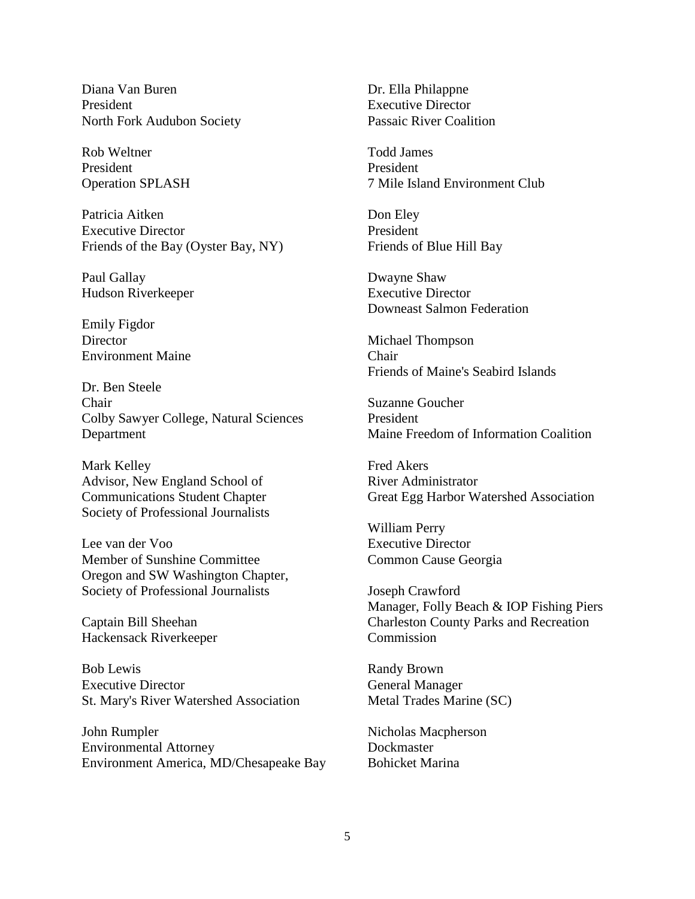Diana Van Buren President North Fork Audubon Society

Rob Weltner President Operation SPLASH

Patricia Aitken Executive Director Friends of the Bay (Oyster Bay, NY)

Paul Gallay Hudson Riverkeeper

Emily Figdor **Director** Environment Maine

Dr. Ben Steele Chair Colby Sawyer College, Natural Sciences Department

Mark Kelley Advisor, New England School of Communications Student Chapter Society of Professional Journalists

Lee van der Voo Member of Sunshine Committee Oregon and SW Washington Chapter, Society of Professional Journalists

Captain Bill Sheehan Hackensack Riverkeeper

Bob Lewis Executive Director St. Mary's River Watershed Association

John Rumpler Environmental Attorney Environment America, MD/Chesapeake Bay Dr. Ella Philappne Executive Director Passaic River Coalition

Todd James President 7 Mile Island Environment Club

Don Eley President Friends of Blue Hill Bay

Dwayne Shaw Executive Director Downeast Salmon Federation

Michael Thompson Chair Friends of Maine's Seabird Islands

Suzanne Goucher President Maine Freedom of Information Coalition

Fred Akers River Administrator Great Egg Harbor Watershed Association

William Perry Executive Director Common Cause Georgia

Joseph Crawford Manager, Folly Beach & IOP Fishing Piers Charleston County Parks and Recreation Commission

Randy Brown General Manager Metal Trades Marine (SC)

Nicholas Macpherson **Dockmaster** Bohicket Marina